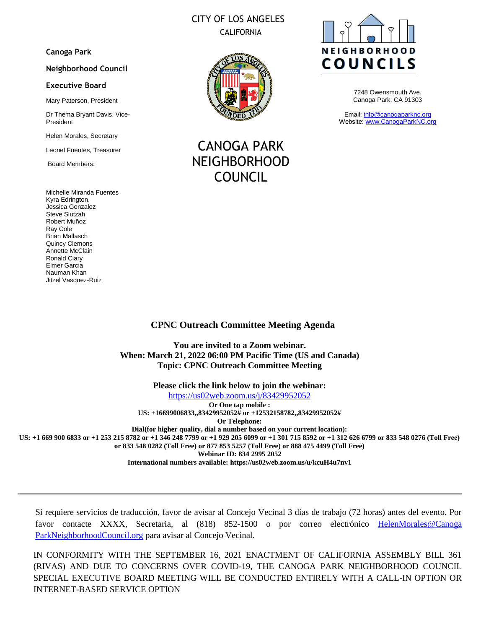# CITY OF LOS ANGELES CALIFORNIA

### **Canoga Park**

#### **Neighborhood Council**

#### **Executive Board**

Mary Paterson, President

Dr Thema Bryant Davis, Vice-President

Helen Morales, Secretary

Leonel Fuentes, Treasurer

Board Members:

Michelle Miranda Fuentes Kyra Edrington, Jessica Gonzalez Steve Slutzah Robert Muñoz Ray Cole Brian Mallasch Quincy Clemons Annette McClain Ronald Clary Elmer Garcia Nauman Khan Jitzel Vasquez-Ruiz



CANOGA PARK NEIGHBORHOOD COUNCIL



7248 Owensmouth Ave. Canoga Park, CA 91303

Email: [info@canogaparknc.org](mailto:info@canogaparknc.org) Website[: www.CanogaParkNC.org](http://www.canogaparknc.org/)

### **CPNC Outreach Committee Meeting Agenda**

**You are invited to a Zoom webinar. When: March 21, 2022 06:00 PM Pacific Time (US and Canada) Topic: CPNC Outreach Committee Meeting**

**Please click the link below to join the webinar:** <https://us02web.zoom.us/j/83429952052> **Or One tap mobile : US: +16699006833,,83429952052# or +12532158782,,83429952052# Or Telephone: Dial(for higher quality, dial a number based on your current location): US: +1 669 900 6833 or +1 253 215 8782 or +1 346 248 7799 or +1 929 205 6099 or +1 301 715 8592 or +1 312 626 6799 or 833 548 0276 (Toll Free)** 

**or 833 548 0282 (Toll Free) or 877 853 5257 (Toll Free) or 888 475 4499 (Toll Free) Webinar ID: 834 2995 2052 International numbers available: https://us02web.zoom.us/u/kcuH4u7nv1** 

Si requiere servicios de traducción, favor de avisar al Concejo Vecinal 3 días de trabajo (72 horas) antes del evento. Por favor contacte XXXX, Secretaria, al (818) 852-1500 o por correo electrónico HelenMorales@Canoga [ParkNeighborhoodCouncil.org](mailto:HelenMorales@NeighborhoodCouncil.org) para avisar al Concejo Vecinal.

IN CONFORMITY WITH THE SEPTEMBER 16, 2021 ENACTMENT OF CALIFORNIA ASSEMBLY BILL 361 (RIVAS) AND DUE TO CONCERNS OVER COVID-19, THE CANOGA PARK NEIGHBORHOOD COUNCIL SPECIAL EXECUTIVE BOARD MEETING WILL BE CONDUCTED ENTIRELY WITH A CALL-IN OPTION OR INTERNET-BASED SERVICE OPTION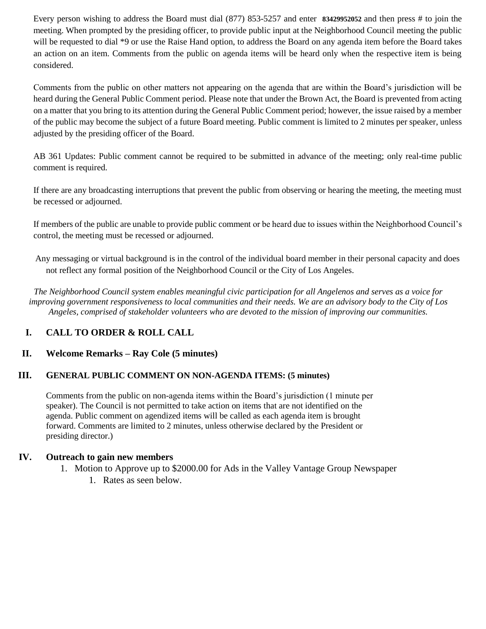Every person wishing to address the Board must dial (877) 853-5257 and enter **83429952052** and then press # to join the meeting. When prompted by the presiding officer, to provide public input at the Neighborhood Council meeting the public will be requested to dial \*9 or use the Raise Hand option, to address the Board on any agenda item before the Board takes an action on an item. Comments from the public on agenda items will be heard only when the respective item is being considered.

Comments from the public on other matters not appearing on the agenda that are within the Board's jurisdiction will be heard during the General Public Comment period. Please note that under the Brown Act, the Board is prevented from acting on a matter that you bring to its attention during the General Public Comment period; however, the issue raised by a member of the public may become the subject of a future Board meeting. Public comment is limited to 2 minutes per speaker, unless adjusted by the presiding officer of the Board.

AB 361 Updates: Public comment cannot be required to be submitted in advance of the meeting; only real-time public comment is required.

If there are any broadcasting interruptions that prevent the public from observing or hearing the meeting, the meeting must be recessed or adjourned.

If members of the public are unable to provide public comment or be heard due to issues within the Neighborhood Council's control, the meeting must be recessed or adjourned.

Any messaging or virtual background is in the control of the individual board member in their personal capacity and does not reflect any formal position of the Neighborhood Council or the City of Los Angeles.

*The Neighborhood Council system enables meaningful civic participation for all Angelenos and serves as a voice for improving government responsiveness to local communities and their needs. We are an advisory body to the City of Los Angeles, comprised of stakeholder volunteers who are devoted to the mission of improving our communities.*

# **I. CALL TO ORDER & ROLL CALL**

# **II. Welcome Remarks – Ray Cole (5 minutes)**

## **III. GENERAL PUBLIC COMMENT ON NON-AGENDA ITEMS: (5 minutes)**

Comments from the public on non-agenda items within the Board's jurisdiction (1 minute per speaker). The Council is not permitted to take action on items that are not identified on the agenda. Public comment on agendized items will be called as each agenda item is brought forward. Comments are limited to 2 minutes, unless otherwise declared by the President or presiding director.)

## **IV. Outreach to gain new members**

1. Motion to Approve up to \$2000.00 for Ads in the Valley Vantage Group Newspaper 1. Rates as seen below.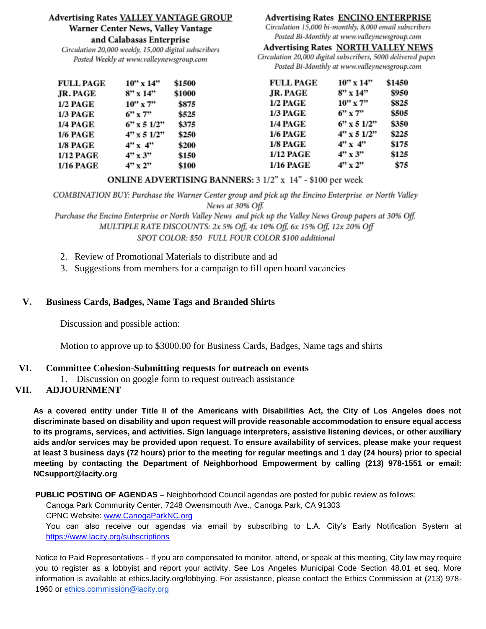## **Advertising Rates VALLEY VANTAGE GROUP** Warner Center News, Valley Vantage

and Calabasas Enterprise

Circulation 20,000 weekly, 15,000 digital subscribers Posted Weekly at www.valleynewsgroup.com

# **Advertising Rates ENCINO ENTERPRISE**

Circulation 15,000 bi-monthly, 8,000 email subscribers Posted Bi-Monthly at www.valleynewsgroup.com

## **Advertising Rates NORTH VALLEY NEWS**

Circulation 20,000 digital subscribers, 5000 delivered paper Posted Bi-Monthly at www.valleynewsgroup.com

| <b>FULL PAGE</b> | $10"$ x $14"$     | \$1500 | <b>FULL PAGE</b> | $10"$ x $14"$     | \$1450 |
|------------------|-------------------|--------|------------------|-------------------|--------|
| JR. PAGE         | $8''$ x 14"       | \$1000 | JR. PAGE         | $8''$ x 14"       | \$950  |
| <b>1/2 PAGE</b>  | $10"$ x 7"        | \$875  | <b>1/2 PAGE</b>  | $10'' \times 7''$ | \$825  |
| <b>1/3 PAGE</b>  | $6''$ x 7"        | \$525  | <b>1/3 PAGE</b>  | $6''$ x 7"        | \$505  |
| <b>1/4 PAGE</b>  | $6''$ x 5 $1/2''$ | \$375  | <b>1/4 PAGE</b>  | $6''$ x 5 $1/2''$ | \$350  |
| <b>1/6 PAGE</b>  | $4"$ x 5 $1/2"$   | \$250  | <b>1/6 PAGE</b>  | $4"$ x 5 $1/2"$   | \$225  |
| <b>1/8 PAGE</b>  | 4"x 4"            | \$200  | <b>1/8 PAGE</b>  | 4"x 4"            | \$175  |
| 1/12 PAGE        | $4"$ x 3"         | \$150  | <b>1/12 PAGE</b> | $4" \times 3"$    | \$125  |
| 1/16 PAGE        | $4" \times 2"$    | \$100  | <b>1/16 PAGE</b> | 4"x2"             | \$75   |

## ONLINE ADVERTISING BANNERS: 3 1/2" x 14" - \$100 per week

COMBINATION BUY: Purchase the Warner Center group and pick up the Encino Enterprise or North Valley News at 30% Off.

Purchase the Encino Enterprise or North Valley News and pick up the Valley News Group papers at 30% Off. MULTIPLE RATE DISCOUNTS: 2x 5% Off, 4x 10% Off, 6x 15% Off, 12x 20% Off SPOT COLOR: \$50 FULL FOUR COLOR \$100 additional

- 2. Review of Promotional Materials to distribute and ad
- 3. Suggestions from members for a campaign to fill open board vacancies

# **V. Business Cards, Badges, Name Tags and Branded Shirts**

Discussion and possible action:

Motion to approve up to \$3000.00 for Business Cards, Badges, Name tags and shirts

# **VI. Committee Cohesion-Submitting requests for outreach on events**

1. Discussion on google form to request outreach assistance

# **VII. ADJOURNMENT**

**As a covered entity under Title II of the Americans with Disabilities Act, the City of Los Angeles does not discriminate based on disability and upon request will provide reasonable accommodation to ensure equal access to its programs, services, and activities. Sign language interpreters, assistive listening devices, or other auxiliary aids and/or services may be provided upon request. To ensure availability of services, please make your request at least 3 business days (72 hours) prior to the meeting for regular meetings and 1 day (24 hours) prior to special meeting by contacting the Department of Neighborhood Empowerment by calling (213) 978-1551 or email: NCsupport@lacity.org**

**PUBLIC POSTING OF AGENDAS** – Neighborhood Council agendas are posted for public review as follows:

Canoga Park Community Center, 7248 Owensmouth Ave., Canoga Park, CA 91303

CPNC Website: [www.CanogaParkNC.org](http://www.canogaparknc.org/)

You can also receive our agendas via email by subscribing to L.A. City's Early Notification System at <https://www.lacity.org/subscriptions>

Notice to Paid Representatives - If you are compensated to monitor, attend, or speak at this meeting, City law may require you to register as a lobbyist and report your activity. See Los Angeles Municipal Code Section 48.01 et seq. More information is available at ethics.lacity.org/lobbying. For assistance, please contact the Ethics Commission at (213) 978 1960 or [ethics.commission@lacity.org](mailto:ethics.commission@lacity.org)